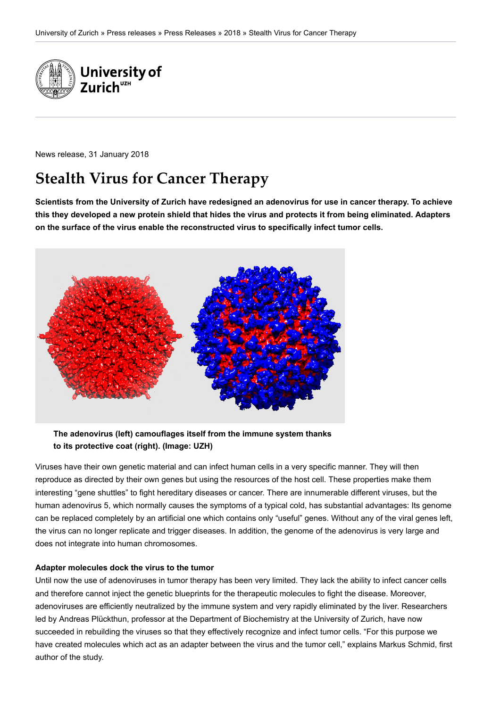

News release, 31 January 2018

# **Stealth Virus for Cancer Therapy**

**Scientists from the University of Zurich have redesigned an adenovirus for use in cancer therapy. To achieve this they developed a new protein shield that hides the virus and protects it from being eliminated. Adapters on the surface of the virus enable the reconstructed virus to specifically infect tumor cells.**



**The adenovirus (left) camouflages itself from the immune system thanks to its protective coat (right). (Image: UZH)**

Viruses have their own genetic material and can infect human cells in a very specific manner. They will then reproduce as directed by their own genes but using the resources of the host cell. These properties make them interesting "gene shuttles" to fight hereditary diseases or cancer. There are innumerable different viruses, but the human adenovirus 5, which normally causes the symptoms of a typical cold, has substantial advantages: Its genome can be replaced completely by an artificial one which contains only "useful" genes. Without any of the viral genes left, the virus can no longer replicate and trigger diseases. In addition, the genome of the adenovirus is very large and does not integrate into human chromosomes.

#### **Adapter molecules dock the virus to the tumor**

Until now the use of adenoviruses in tumor therapy has been very limited. They lack the ability to infect cancer cells and therefore cannot inject the genetic blueprints for the therapeutic molecules to fight the disease. Moreover, adenoviruses are efficiently neutralized by the immune system and very rapidly eliminated by the liver. Researchers led by Andreas Plückthun, professor at the Department of Biochemistry at the University of Zurich, have now succeeded in rebuilding the viruses so that they effectively recognize and infect tumor cells. "For this purpose we have created molecules which act as an adapter between the virus and the tumor cell," explains Markus Schmid, first author of the study.